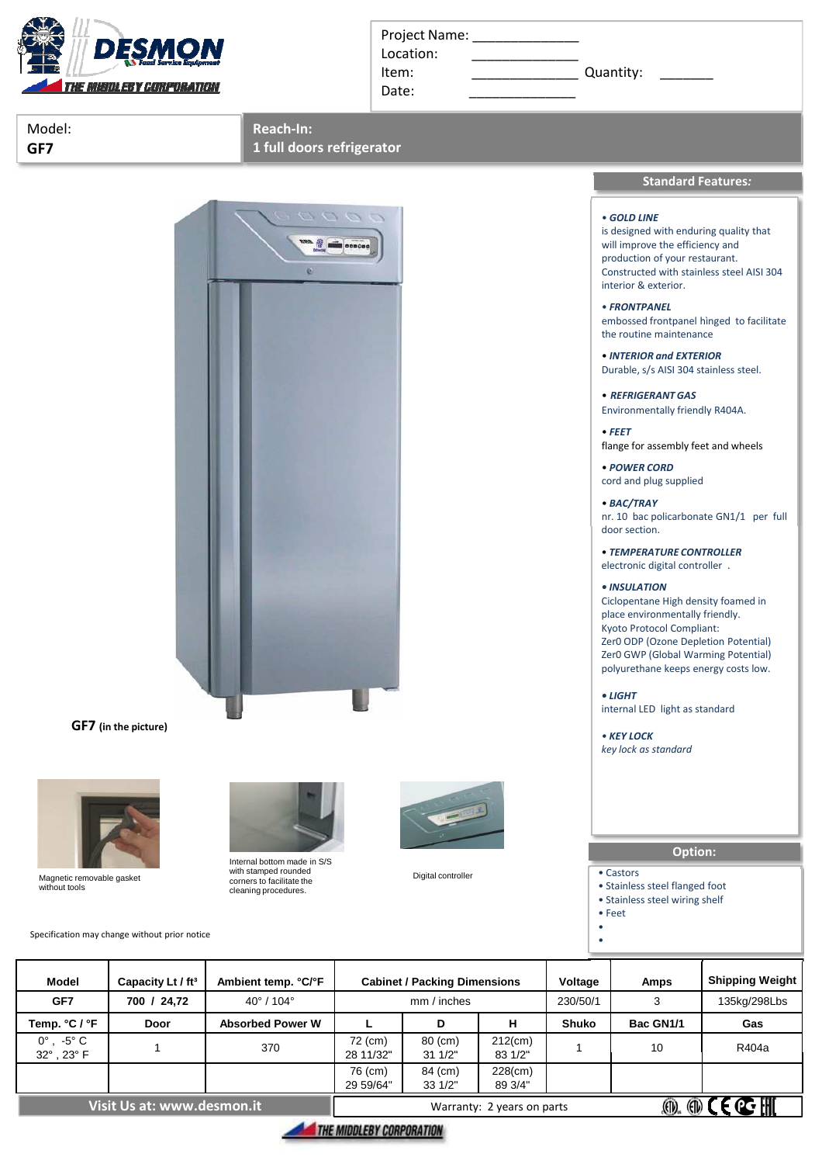

|  | Project Name: |  |
|--|---------------|--|
|  |               |  |

Location:

Date:

Item: Cuantity:

Model: **GF7**

**Reach-In:**

**1 full doors refrigerator**



**GF7 (in the picture)**



Magnetic removable gasket without tools

Specification may change without prior notice



Internal bottom made in S/S with stamped rounded corners to facilitate the cleaning procedures.



Digital controller



interior & exterior.

• *FRONTPANEL* embossed frontpanel hìnged to facilitate the routine maintenance

**Standard Features***:*

• *INTERIOR and EXTERIOR* Durable, s/s AISI 304 stainless steel.

• *REFRIGERANT GAS* Environmentally friendly R404A.

• *FEET* flange for assembly feet and wheels

• *POWER CORD* cord and plug supplied

• *BAC/TRAY* nr. 10 bac policarbonate GN1/1 per full door section.

• *TEMPERATURE CONTROLLER* electronic digital controller .

## *• INSULATION*

Ciclopentane High density foamed in place environmentally friendly. Kyoto Protocol Compliant: Zer0 ODP (Ozone Depletion Potential) Zer0 GWP (Global Warming Potential) polyurethane keeps energy costs low.

*• LIGHT* internal LED light as standard

*• KEY LOCK key lock as standard* 

# **Option:**

• Castors

• Stainless steel flanged foot

• Stainless steel wiring shelf • Feet

• •

| <b>Model</b>                           | Capacity Lt / ft <sup>3</sup> | Ambient temp. °C/°F           |                            | <b>Cabinet / Packing Dimensions</b> |                       | Voltage      | Amps                                     | <b>Shipping Weight</b> |  |
|----------------------------------------|-------------------------------|-------------------------------|----------------------------|-------------------------------------|-----------------------|--------------|------------------------------------------|------------------------|--|
| GF7                                    | 700 / 24,72                   | $40^{\circ}$ / 104 $^{\circ}$ |                            | mm / inches                         |                       | 230/50/1     | 3                                        | 135kg/298Lbs           |  |
| Temp. °C / °F                          | Door                          | <b>Absorbed Power W</b>       |                            | D                                   | н                     | <b>Shuko</b> | Bac GN1/1                                | Gas                    |  |
| $0^\circ$ , $-5^\circ$ C<br>32°, 23° F |                               | 370                           | 72 (cm)<br>28 11/32"       | $80$ (cm)<br>$31 \frac{1}{2}$       | $212$ (cm)<br>83 1/2" |              | 10                                       | R404a                  |  |
|                                        |                               |                               | 76 (cm)<br>29 59/64"       | 84 (cm)<br>331/2"                   | $228$ (cm)<br>89 3/4" |              |                                          |                        |  |
| Visit Us at: www.des <u>mon.it</u>     |                               |                               | Warranty: 2 years on parts |                                     |                       |              | $\circledR \circledR \in \mathbb{C}$ ill |                        |  |